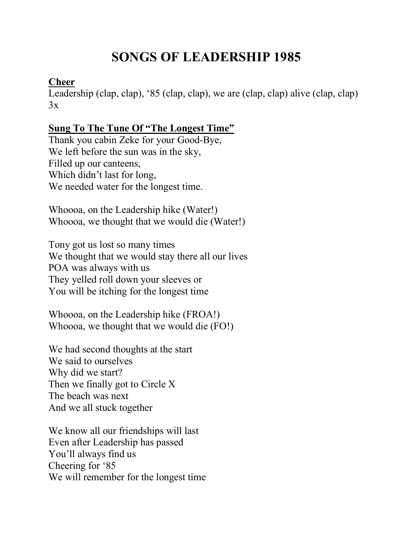# **SONGS OF LEADERSHIP 1985**

### **Cheer**

Leadership (clap, clap), '85 (clap, clap), we are (clap, clap) alive (clap, clap)  $3x$ 

# **Sung To The Tune Of "The Longest Time"**

Thank you cabin Zeke for your Good-Bye, We left before the sun was in the sky, Filled up our canteens, Which didn't last for long, We needed water for the longest time.

Whoooa, on the Leadership hike (Water!) Whoooa, we thought that we would die (Water!)

Tony got us lost so many times We thought that we would stay there all our lives POA was always with us They yelled roll down your sleeves or You will be itching for the longest time

Whoooa, on the Leadership hike (FROA!) Whoooa, we thought that we would die (FO!)

We had second thoughts at the start We said to ourselves Why did we start? Then we finally got to Circle X The beach was next And we all stuck together

We know all our friendships will last Even after Leadership has passed You'll always find us Cheering for '85 We will remember for the longest time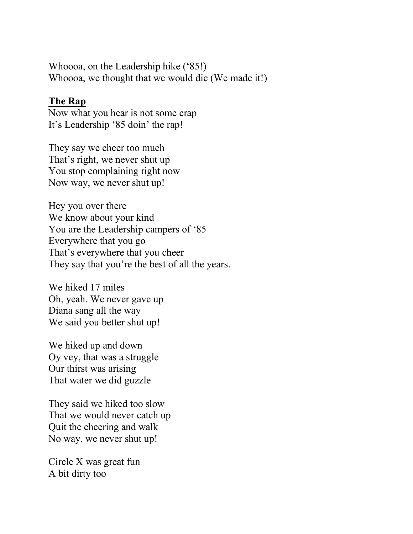Whoooa, on the Leadership hike ('85!) Whoooa, we thought that we would die (We made it!)

#### **The Rap**

Now what you hear is not some crap It's Leadership '85 doin' the rap!

They say we cheer too much That's right, we never shut up You stop complaining right now Now way, we never shut up!

Hey you over there We know about your kind You are the Leadership campers of '85 Everywhere that you go That's everywhere that you cheer They say that you're the best of all the years.

We hiked 17 miles Oh, yeah. We never gave up Diana sang all the way We said you better shut up!

We hiked up and down Oy vey, that was a struggle Our thirst was arising That water we did guzzle

They said we hiked too slow That we would never catch up Quit the cheering and walk No way, we never shut up!

Circle X was great fun A bit dirty too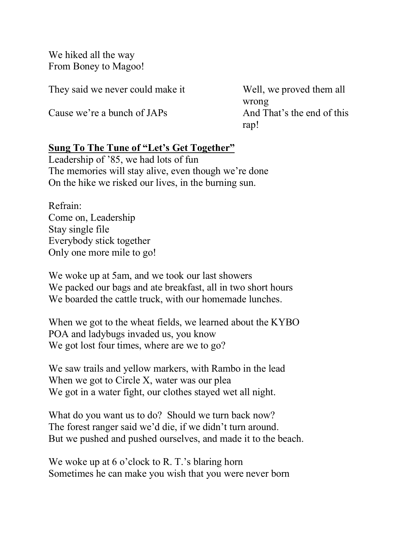We hiked all the way From Boney to Magoo!

They said we never could make it Well, we proved them all

Cause we're a bunch of JAPs And That's the end of this

wrong rap!

## **Sung To The Tune of "Let's Get Together"**

Leadership of '85, we had lots of fun The memories will stay alive, even though we're done On the hike we risked our lives, in the burning sun.

Refrain: Come on, Leadership Stay single file Everybody stick together Only one more mile to go!

We woke up at 5am, and we took our last showers We packed our bags and ate breakfast, all in two short hours We boarded the cattle truck, with our homemade lunches.

When we got to the wheat fields, we learned about the KYBO POA and ladybugs invaded us, you know We got lost four times, where are we to go?

We saw trails and yellow markers, with Rambo in the lead When we got to Circle X, water was our plea We got in a water fight, our clothes stayed wet all night.

What do you want us to do? Should we turn back now? The forest ranger said we'd die, if we didn't turn around. But we pushed and pushed ourselves, and made it to the beach.

We woke up at 6 o'clock to R. T.'s blaring horn Sometimes he can make you wish that you were never born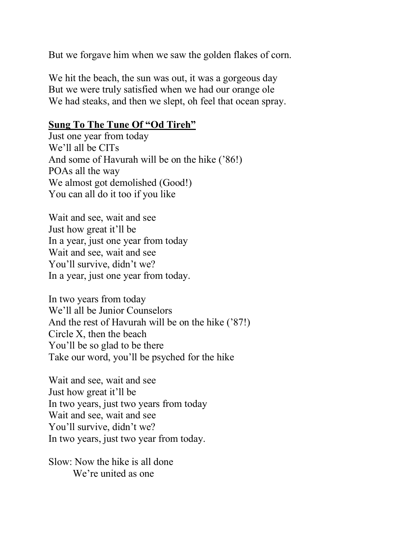But we forgave him when we saw the golden flakes of corn.

We hit the beach, the sun was out, it was a gorgeous day But we were truly satisfied when we had our orange ole We had steaks, and then we slept, oh feel that ocean spray.

#### **Sung To The Tune Of "Od Tireh"**

Just one year from today We'll all be CITs And some of Havurah will be on the hike ('86!) POAs all the way We almost got demolished (Good!) You can all do it too if you like

Wait and see, wait and see Just how great it'll be In a year, just one year from today Wait and see, wait and see You'll survive, didn't we? In a year, just one year from today.

In two years from today We'll all be Junior Counselors And the rest of Havurah will be on the hike ('87!) Circle X, then the beach You'll be so glad to be there Take our word, you'll be psyched for the hike

Wait and see, wait and see Just how great it'll be In two years, just two years from today Wait and see, wait and see You'll survive, didn't we? In two years, just two year from today.

Slow: Now the hike is all done We're united as one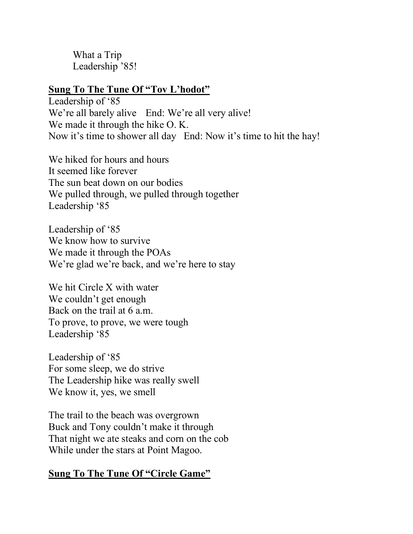What a Trip Leadership '85!

#### **Sung To The Tune Of "Tov L'hodot"**

Leadership of '85 We're all barely alive End: We're all very alive! We made it through the hike O. K. Now it's time to shower all day End: Now it's time to hit the hay!

We hiked for hours and hours It seemed like forever The sun beat down on our bodies We pulled through, we pulled through together Leadership '85

Leadership of '85 We know how to survive We made it through the POAs We're glad we're back, and we're here to stay

We hit Circle X with water We couldn't get enough Back on the trail at 6 a.m. To prove, to prove, we were tough Leadership '85

Leadership of '85 For some sleep, we do strive The Leadership hike was really swell We know it, yes, we smell

The trail to the beach was overgrown Buck and Tony couldn't make it through That night we ate steaks and corn on the cob While under the stars at Point Magoo.

## **Sung To The Tune Of "Circle Game"**